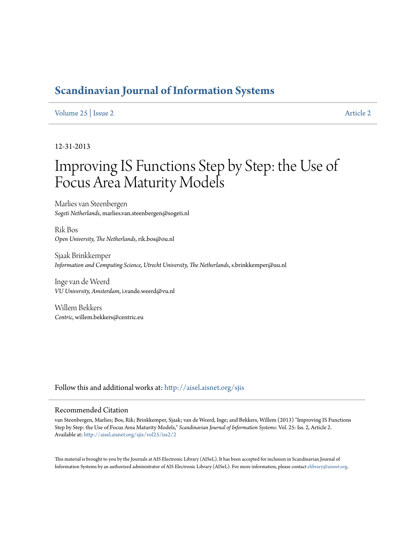# **[Scandinavian Journal of Information Systems](http://aisel.aisnet.org/sjis?utm_source=aisel.aisnet.org%2Fsjis%2Fvol25%2Fiss2%2F2&utm_medium=PDF&utm_campaign=PDFCoverPages)**

### [Volume 25](http://aisel.aisnet.org/sjis/vol25?utm_source=aisel.aisnet.org%2Fsjis%2Fvol25%2Fiss2%2F2&utm_medium=PDF&utm_campaign=PDFCoverPages) | [Issue 2](http://aisel.aisnet.org/sjis/vol25/iss2?utm_source=aisel.aisnet.org%2Fsjis%2Fvol25%2Fiss2%2F2&utm_medium=PDF&utm_campaign=PDFCoverPages) [Article 2](http://aisel.aisnet.org/sjis/vol25/iss2/2?utm_source=aisel.aisnet.org%2Fsjis%2Fvol25%2Fiss2%2F2&utm_medium=PDF&utm_campaign=PDFCoverPages)

#### 12-31-2013

# Improving IS Functions Step by Step: the Use of Focus Area Maturity Models

Marlies van Steenbergen *Sogeti Netherlands*, marlies.van.steenbergen@sogeti.nl

Rik Bos *Open University, The Netherlands*, rik.bos@ou.nl

Sjaak Brinkkemper *Information and Computing Science, Utrecht University, The Netherlands*, s.brinkkemper@uu.nl

Inge van de Weerd *VU University, Amsterdam*, i.vande.weerd@vu.nl

Willem Bekkers *Centric*, willem.bekkers@centric.eu

Follow this and additional works at: [http://aisel.aisnet.org/sjis](http://aisel.aisnet.org/sjis?utm_source=aisel.aisnet.org%2Fsjis%2Fvol25%2Fiss2%2F2&utm_medium=PDF&utm_campaign=PDFCoverPages)

#### Recommended Citation

van Steenbergen, Marlies; Bos, Rik; Brinkkemper, Sjaak; van de Weerd, Inge; and Bekkers, Willem (2013) "Improving IS Functions Step by Step: the Use of Focus Area Maturity Models," *Scandinavian Journal of Information Systems*: Vol. 25: Iss. 2, Article 2. Available at: [http://aisel.aisnet.org/sjis/vol25/iss2/2](http://aisel.aisnet.org/sjis/vol25/iss2/2?utm_source=aisel.aisnet.org%2Fsjis%2Fvol25%2Fiss2%2F2&utm_medium=PDF&utm_campaign=PDFCoverPages)

This material is brought to you by the Journals at AIS Electronic Library (AISeL). It has been accepted for inclusion in Scandinavian Journal of Information Systems by an authorized administrator of AIS Electronic Library (AISeL). For more information, please contact [elibrary@aisnet.org.](mailto:elibrary@aisnet.org>)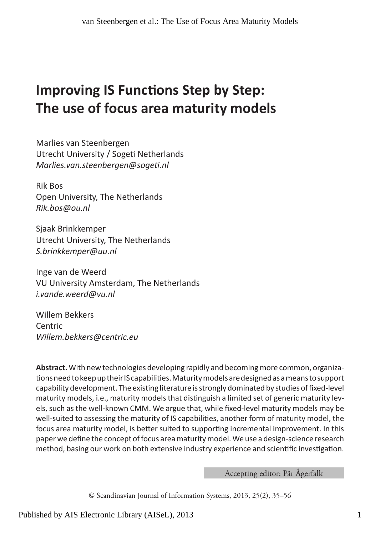# **Improving IS Functions Step by Step: The use of focus area maturity models**

Marlies van Steenbergen Utrecht University / Sogeti Netherlands *Marlies.van.steenbergen@sogeti.nl*

Rik Bos Open University, The Netherlands *Rik.bos@ou.nl*

Sjaak Brinkkemper Utrecht University, The Netherlands *S.brinkkemper@uu.nl*

Inge van de Weerd VU University Amsterdam, The Netherlands *i.vande.weerd@vu.nl*

Willem Bekkers Centric *Willem.bekkers@centric.eu* 

**Abstract.** With new technologies developing rapidly and becoming more common, organizations need to keep up their IS capabilities. Maturity models are designed as a means to support capability development. The existing literature is strongly dominated by studies of fixed-level maturity models, i.e., maturity models that distinguish a limited set of generic maturity levels, such as the well-known CMM. We argue that, while fixed-level maturity models may be well-suited to assessing the maturity of IS capabilities, another form of maturity model, the focus area maturity model, is better suited to supporting incremental improvement. In this paper we define the concept of focus area maturity model. We use a design-science research method, basing our work on both extensive industry experience and scientific investigation.

Accepting editor: Pär Ågerfalk

© Scandinavian Journal of Information Systems, 2013, 25(2), 35–56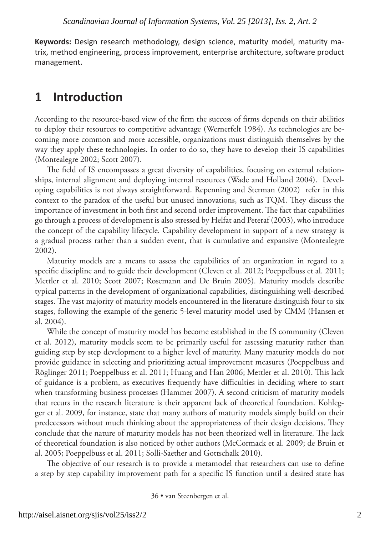**Keywords:** Design research methodology, design science, maturity model, maturity matrix, method engineering, process improvement, enterprise architecture, software product management.

### **1 Introduction**

According to the resource-based view of the firm the success of firms depends on their abilities to deploy their resources to competitive advantage (Wernerfelt 1984). As technologies are becoming more common and more accessible, organizations must distinguish themselves by the way they apply these technologies. In order to do so, they have to develop their IS capabilities (Montealegre 2002; Scott 2007).

The field of IS encompasses a great diversity of capabilities, focusing on external relationships, internal alignment and deploying internal resources (Wade and Holland 2004). Developing capabilities is not always straightforward. Repenning and Sterman (2002) refer in this context to the paradox of the useful but unused innovations, such as TQM. They discuss the importance of investment in both first and second order improvement. The fact that capabilities go through a process of development is also stressed by Helfat and Peteraf (2003), who introduce the concept of the capability lifecycle. Capability development in support of a new strategy is a gradual process rather than a sudden event, that is cumulative and expansive (Montealegre 2002).

Maturity models are a means to assess the capabilities of an organization in regard to a specific discipline and to guide their development (Cleven et al. 2012; Poeppelbuss et al. 2011; Mettler et al. 2010; Scott 2007; Rosemann and De Bruin 2005). Maturity models describe typical patterns in the development of organizational capabilities, distinguishing well-described stages. The vast majority of maturity models encountered in the literature distinguish four to six stages, following the example of the generic 5-level maturity model used by CMM (Hansen et al. 2004).

While the concept of maturity model has become established in the IS community (Cleven et al. 2012), maturity models seem to be primarily useful for assessing maturity rather than guiding step by step development to a higher level of maturity. Many maturity models do not provide guidance in selecting and prioritizing actual improvement measures (Poeppelbuss and Röglinger 2011; Poeppelbuss et al. 2011; Huang and Han 2006; Mettler et al. 2010). This lack of guidance is a problem, as executives frequently have difficulties in deciding where to start when transforming business processes (Hammer 2007). A second criticism of maturity models that recurs in the research literature is their apparent lack of theoretical foundation. Kohlegger et al. 2009, for instance, state that many authors of maturity models simply build on their predecessors without much thinking about the appropriateness of their design decisions. They conclude that the nature of maturity models has not been theorized well in literature. The lack of theoretical foundation is also noticed by other authors (McCormack et al. 2009; de Bruin et al. 2005; Poeppelbuss et al. 2011; Solli-Saether and Gottschalk 2010).

The objective of our research is to provide a metamodel that researchers can use to define a step by step capability improvement path for a specific IS function until a desired state has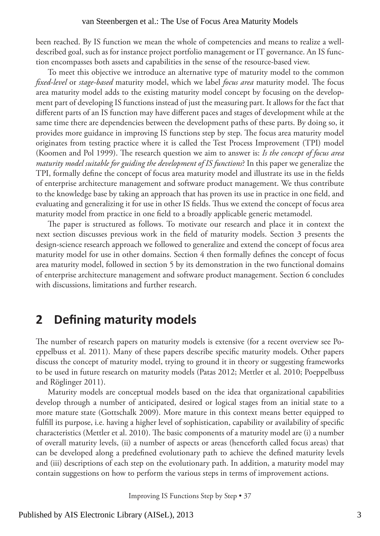been reached. By IS function we mean the whole of competencies and means to realize a welldescribed goal, such as for instance project portfolio management or IT governance. An IS function encompasses both assets and capabilities in the sense of the resource-based view.

To meet this objective we introduce an alternative type of maturity model to the common *fixed-level* or *stage-based* maturity model, which we label *focus area* maturity model. The focus area maturity model adds to the existing maturity model concept by focusing on the development part of developing IS functions instead of just the measuring part. It allows for the fact that different parts of an IS function may have different paces and stages of development while at the same time there are dependencies between the development paths of these parts. By doing so, it provides more guidance in improving IS functions step by step. The focus area maturity model originates from testing practice where it is called the Test Process Improvement (TPI) model (Koomen and Pol 1999). The research question we aim to answer is: *Is the concept of focus area maturity model suitable for guiding the development of IS functions*? In this paper we generalize the TPI, formally define the concept of focus area maturity model and illustrate its use in the fields of enterprise architecture management and software product management. We thus contribute to the knowledge base by taking an approach that has proven its use in practice in one field, and evaluating and generalizing it for use in other IS fields. Thus we extend the concept of focus area maturity model from practice in one field to a broadly applicable generic metamodel.

The paper is structured as follows. To motivate our research and place it in context the next section discusses previous work in the field of maturity models. Section 3 presents the design-science research approach we followed to generalize and extend the concept of focus area maturity model for use in other domains. Section 4 then formally defines the concept of focus area maturity model, followed in section 5 by its demonstration in the two functional domains of enterprise architecture management and software product management. Section 6 concludes with discussions, limitations and further research.

### **2 Defining maturity models**

The number of research papers on maturity models is extensive (for a recent overview see Poeppelbuss et al. 2011). Many of these papers describe specific maturity models. Other papers discuss the concept of maturity model, trying to ground it in theory or suggesting frameworks to be used in future research on maturity models (Patas 2012; Mettler et al. 2010; Poeppelbuss and Röglinger 2011).

Maturity models are conceptual models based on the idea that organizational capabilities develop through a number of anticipated, desired or logical stages from an initial state to a more mature state (Gottschalk 2009). More mature in this context means better equipped to fulfill its purpose, i.e. having a higher level of sophistication, capability or availability of specific characteristics (Mettler et al. 2010). The basic components of a maturity model are (i) a number of overall maturity levels, (ii) a number of aspects or areas (henceforth called focus areas) that can be developed along a predefined evolutionary path to achieve the defined maturity levels and (iii) descriptions of each step on the evolutionary path. In addition, a maturity model may contain suggestions on how to perform the various steps in terms of improvement actions.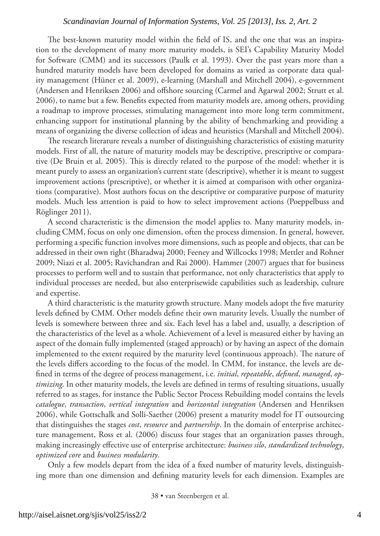The best-known maturity model within the field of IS, and the one that was an inspiration to the development of many more maturity models, is SEI's Capability Maturity Model for Software (CMM) and its successors (Paulk et al. 1993). Over the past years more than a hundred maturity models have been developed for domains as varied as corporate data quality management (Hüner et al. 2009), e-learning (Marshall and Mitchell 2004), e-government (Andersen and Henriksen 2006) and offshore sourcing (Carmel and Agarwal 2002; Strutt et al. 2006), to name but a few. Benefits expected from maturity models are, among others, providing a roadmap to improve processes, stimulating management into more long term commitment, enhancing support for institutional planning by the ability of benchmarking and providing a means of organizing the diverse collection of ideas and heuristics (Marshall and Mitchell 2004).

The research literature reveals a number of distinguishing characteristics of existing maturity models. First of all, the nature of maturity models may be descriptive, prescriptive or comparative (De Bruin et al. 2005). This is directly related to the purpose of the model: whether it is meant purely to assess an organization's current state (descriptive), whether it is meant to suggest improvement actions (prescriptive), or whether it is aimed at comparison with other organizations (comparative). Most authors focus on the descriptive or comparative purpose of maturity models. Much less attention is paid to how to select improvement actions (Poeppelbuss and Röglinger 2011).

A second characteristic is the dimension the model applies to. Many maturity models, including CMM, focus on only one dimension, often the process dimension. In general, however, performing a specific function involves more dimensions, such as people and objects, that can be addressed in their own right (Bharadwaj 2000; Feeney and Willcocks 1998; Mettler and Rohner 2009; Niazi et al. 2005; Ravichandran and Rai 2000). Hammer (2007) argues that for business processes to perform well and to sustain that performance, not only characteristics that apply to individual processes are needed, but also enterprisewide capabilities such as leadership, culture and expertise.

A third characteristic is the maturity growth structure. Many models adopt the five maturity levels defined by CMM. Other models define their own maturity levels. Usually the number of levels is somewhere between three and six. Each level has a label and, usually, a description of the characteristics of the level as a whole. Achievement of a level is measured either by having an aspect of the domain fully implemented (staged approach) or by having an aspect of the domain implemented to the extent required by the maturity level (continuous approach). The nature of the levels differs according to the focus of the model. In CMM, for instance, the levels are defined in terms of the degree of process management, i.e. *initial*, *repeatable*, *defined*, *managed*, *optimizing*. In other maturity models, the levels are defined in terms of resulting situations, usually referred to as stages, for instance the Public Sector Process Rebuilding model contains the levels *catalogue*, *transaction*, *vertical integration* and *horizontal integration* (Andersen and Henriksen 2006), while Gottschalk and Solli-Saether (2006) present a maturity model for IT outsourcing that distinguishes the stages *cost*, *resource* and *partnership*. In the domain of enterprise architecture management, Ross et al. (2006) discuss four stages that an organization passes through, making increasingly effective use of enterprise architecture: *business silo*, *standardized technology*, *optimized core* and *business modularity*.

Only a few models depart from the idea of a fixed number of maturity levels, distinguishing more than one dimension and defining maturity levels for each dimension. Examples are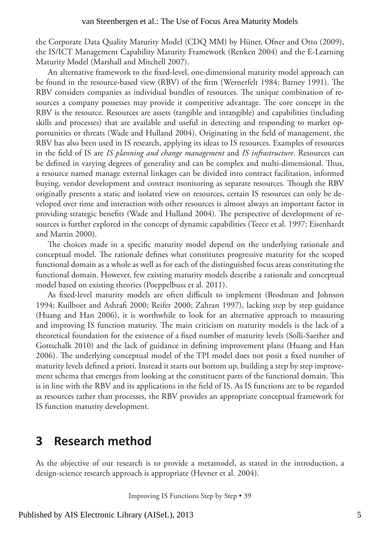the Corporate Data Quality Maturity Model (CDQ MM) by Hüner, Ofner and Otto (2009), the IS/ICT Management Capability Maturity Framework (Renken 2004) and the E-Learning Maturity Model (Marshall and Mitchell 2007).

An alternative framework to the fixed-level, one-dimensional maturity model approach can be found in the resource-based view (RBV) of the firm (Wernerfelt 1984; Barney 1991). The RBV considers companies as individual bundles of resources. The unique combination of resources a company possesses may provide it competitive advantage. The core concept in the RBV is the resource. Resources are assets (tangible and intangible) and capabilities (including skills and processes) that are available and useful in detecting and responding to market opportunities or threats (Wade and Hulland 2004). Originating in the field of management, the RBV has also been used in IS research, applying its ideas to IS resources. Examples of resources in the field of IS are *IS planning and change management* and *IS infrastructure*. Resources can be defined in varying degrees of generality and can be complex and multi-dimensional. Thus, a resource named manage external linkages can be divided into contract facilitation, informed buying, vendor development and contract monitoring as separate resources. Though the RBV originally presents a static and isolated view on resources, certain IS resources can only be developed over time and interaction with other resources is almost always an important factor in providing strategic benefits (Wade and Hulland 2004). The perspective of development of resources is further explored in the concept of dynamic capabilities (Teece et al. 1997; Eisenhardt and Martin 2000).

The choices made in a specific maturity model depend on the underlying rationale and conceptual model. The rationale defines what constitutes progressive maturity for the scoped functional domain as a whole as well as for each of the distinguished focus areas constituting the functional domain. However, few existing maturity models describe a rationale and conceptual model based on existing theories (Poeppelbuss et al. 2011).

As fixed-level maturity models are often difficult to implement (Brodman and Johnson 1994; Kuilboer and Ashrafi 2000; Reifer 2000; Zahran 1997), lacking step by step guidance (Huang and Han 2006), it is worthwhile to look for an alternative approach to measuring and improving IS function maturity. The main criticism on maturity models is the lack of a theoretical foundation for the existence of a fixed number of maturity levels (Solli-Saether and Gottschalk 2010) and the lack of guidance in defining improvement plans (Huang and Han 2006). The underlying conceptual model of the TPI model does not posit a fixed number of maturity levels defined a priori. Instead it starts out bottom up, building a step by step improvement schema that emerges from looking at the constituent parts of the functional domain. This is in line with the RBV and its applications in the field of IS. As IS functions are to be regarded as resources rather than processes, the RBV provides an appropriate conceptual framework for IS function maturity development.

### **3 Research method**

As the objective of our research is to provide a metamodel, as stated in the introduction, a design-science research approach is appropriate (Hevner et al. 2004).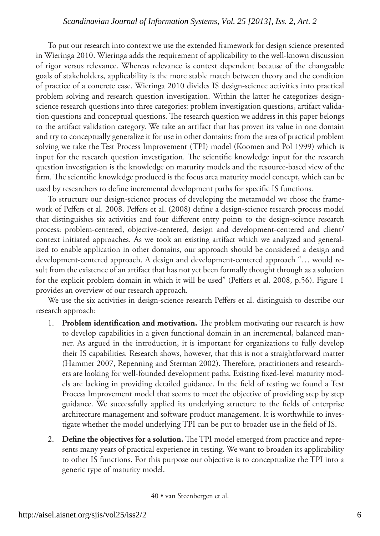To put our research into context we use the extended framework for design science presented in Wieringa 2010. Wieringa adds the requirement of applicability to the well-known discussion of rigor versus relevance. Whereas relevance is context dependent because of the changeable goals of stakeholders, applicability is the more stable match between theory and the condition of practice of a concrete case. Wieringa 2010 divides IS design-science activities into practical problem solving and research question investigation. Within the latter he categorizes designscience research questions into three categories: problem investigation questions, artifact validation questions and conceptual questions. The research question we address in this paper belongs to the artifact validation category. We take an artifact that has proven its value in one domain and try to conceptually generalize it for use in other domains: from the area of practical problem solving we take the Test Process Improvement (TPI) model (Koomen and Pol 1999) which is input for the research question investigation. The scientific knowledge input for the research question investigation is the knowledge on maturity models and the resource-based view of the firm. The scientific knowledge produced is the focus area maturity model concept, which can be used by researchers to define incremental development paths for specific IS functions.

To structure our design-science process of developing the metamodel we chose the framework of Peffers et al. 2008. Peffers et al. (2008) define a design-science research process model that distinguishes six activities and four different entry points to the design-science research process: problem-centered, objective-centered, design and development-centered and client/ context initiated approaches. As we took an existing artifact which we analyzed and generalized to enable application in other domains, our approach should be considered a design and development-centered approach. A design and development-centered approach "… would result from the existence of an artifact that has not yet been formally thought through as a solution for the explicit problem domain in which it will be used" (Peffers et al. 2008, p.56). Figure 1 provides an overview of our research approach.

We use the six activities in design-science research Peffers et al. distinguish to describe our research approach:

- 1. **Problem identification and motivation.** The problem motivating our research is how to develop capabilities in a given functional domain in an incremental, balanced manner. As argued in the introduction, it is important for organizations to fully develop their IS capabilities. Research shows, however, that this is not a straightforward matter (Hammer 2007, Repenning and Sterman 2002). Therefore, practitioners and researchers are looking for well-founded development paths. Existing fixed-level maturity models are lacking in providing detailed guidance. In the field of testing we found a Test Process Improvement model that seems to meet the objective of providing step by step guidance. We successfully applied its underlying structure to the fields of enterprise architecture management and software product management. It is worthwhile to investigate whether the model underlying TPI can be put to broader use in the field of IS.
- 2. **Define the objectives for a solution.** The TPI model emerged from practice and represents many years of practical experience in testing. We want to broaden its applicability to other IS functions. For this purpose our objective is to conceptualize the TPI into a generic type of maturity model.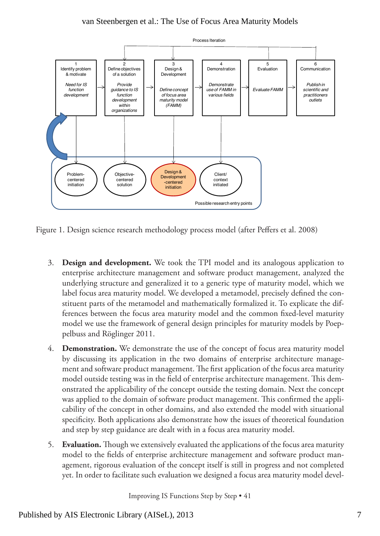

Figure 1. Design science research methodology process model (after Peffers et al. 2008)

- 3. **Design and development.** We took the TPI model and its analogous application to enterprise architecture management and software product management, analyzed the underlying structure and generalized it to a generic type of maturity model, which we label focus area maturity model. We developed a metamodel, precisely defined the constituent parts of the metamodel and mathematically formalized it. To explicate the differences between the focus area maturity model and the common fixed-level maturity model we use the framework of general design principles for maturity models by Poeppelbuss and Röglinger 2011.
- 4. **Demonstration.** We demonstrate the use of the concept of focus area maturity model by discussing its application in the two domains of enterprise architecture management and software product management. The first application of the focus area maturity model outside testing was in the field of enterprise architecture management. This demonstrated the applicability of the concept outside the testing domain. Next the concept was applied to the domain of software product management. This confirmed the applicability of the concept in other domains, and also extended the model with situational specificity. Both applications also demonstrate how the issues of theoretical foundation and step by step guidance are dealt with in a focus area maturity model.
- 5. **Evaluation.** Though we extensively evaluated the applications of the focus area maturity model to the fields of enterprise architecture management and software product management, rigorous evaluation of the concept itself is still in progress and not completed yet. In order to facilitate such evaluation we designed a focus area maturity model devel-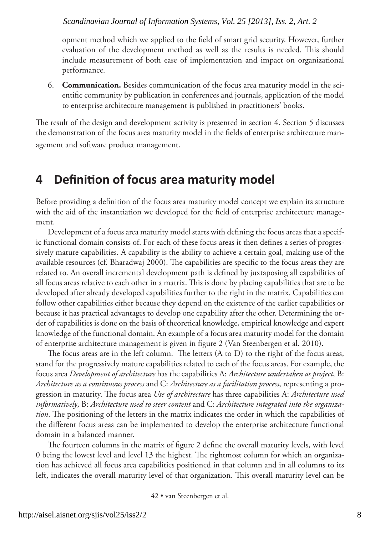opment method which we applied to the field of smart grid security. However, further evaluation of the development method as well as the results is needed. This should include measurement of both ease of implementation and impact on organizational performance.

6. **Communication.** Besides communication of the focus area maturity model in the scientific community by publication in conferences and journals, application of the model to enterprise architecture management is published in practitioners' books.

The result of the design and development activity is presented in section 4. Section 5 discusses the demonstration of the focus area maturity model in the fields of enterprise architecture management and software product management.

### **4 Definition of focus area maturity model**

Before providing a definition of the focus area maturity model concept we explain its structure with the aid of the instantiation we developed for the field of enterprise architecture management.

Development of a focus area maturity model starts with defining the focus areas that a specific functional domain consists of. For each of these focus areas it then defines a series of progressively mature capabilities. A capability is the ability to achieve a certain goal, making use of the available resources (cf. Bharadwaj 2000). The capabilities are specific to the focus areas they are related to. An overall incremental development path is defined by juxtaposing all capabilities of all focus areas relative to each other in a matrix. This is done by placing capabilities that are to be developed after already developed capabilities further to the right in the matrix. Capabilities can follow other capabilities either because they depend on the existence of the earlier capabilities or because it has practical advantages to develop one capability after the other. Determining the order of capabilities is done on the basis of theoretical knowledge, empirical knowledge and expert knowledge of the functional domain. An example of a focus area maturity model for the domain of enterprise architecture management is given in figure 2 (Van Steenbergen et al. 2010).

The focus areas are in the left column. The letters (A to D) to the right of the focus areas, stand for the progressively mature capabilities related to each of the focus areas. For example, the focus area *Development of architecture* has the capabilities A: *Architecture undertaken as project*, B: *Architecture as a continuous process* and C: *Architecture as a facilitation process*, representing a progression in maturity. The focus area *Use of architecture* has three capabilities A: *Architecture used informatively*, B: *Architecture used to steer content* and C: *Architecture integrated into the organization*. The positioning of the letters in the matrix indicates the order in which the capabilities of the different focus areas can be implemented to develop the enterprise architecture functional domain in a balanced manner.

The fourteen columns in the matrix of figure 2 define the overall maturity levels, with level 0 being the lowest level and level 13 the highest. The rightmost column for which an organization has achieved all focus area capabilities positioned in that column and in all columns to its left, indicates the overall maturity level of that organization. This overall maturity level can be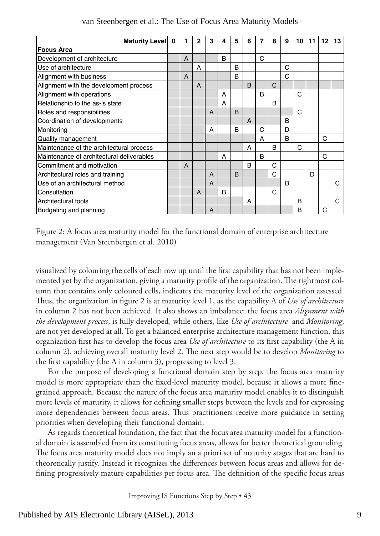| Maturity Level 0                          | 1 | $\mathbf{2}$ | 3 | 4 | 5              | 6            | 7            | 8            | 9            | 10 | 11 | 12 | 13 |
|-------------------------------------------|---|--------------|---|---|----------------|--------------|--------------|--------------|--------------|----|----|----|----|
| <b>Focus Area</b>                         |   |              |   |   |                |              |              |              |              |    |    |    |    |
| Development of architecture               | A |              |   | B |                |              | C            |              |              |    |    |    |    |
| Use of architecture                       |   | A            |   |   | B              |              |              |              | C            |    |    |    |    |
| Alignment with business                   | A |              |   |   | B              |              |              |              | C            |    |    |    |    |
| Alignment with the development process    |   | A            |   |   |                | <sub>B</sub> |              | C            |              |    |    |    |    |
| Alignment with operations                 |   |              |   | A |                |              | <sub>B</sub> |              |              | C  |    |    |    |
| Relationship to the as-is state           |   |              |   | A |                |              |              | <sub>B</sub> |              |    |    |    |    |
| Roles and responsibilities                |   |              | A |   | <sub>B</sub>   |              |              |              |              | Ć  |    |    |    |
| Coordination of developments              |   |              |   |   |                | A            |              |              | <sub>R</sub> |    |    |    |    |
| Monitoring                                |   |              | A |   | B              |              | C            |              | D            |    |    |    |    |
| Quality management                        |   |              |   |   |                |              | A            |              | <sub>R</sub> |    |    | C  |    |
| Maintenance of the architectural process  |   |              |   |   |                | A            |              | <sub>R</sub> |              | C  |    |    |    |
| Maintenance of architectural deliverables |   |              |   | A |                |              | <sub>B</sub> |              |              |    |    | C  |    |
| Commitment and motivation                 | A |              |   |   |                | B            |              | C            |              |    |    |    |    |
| Architectural roles and training          |   |              | A |   | $\overline{B}$ |              |              | C            |              |    | D  |    |    |
| Use of an architectural method            |   |              | A |   |                |              |              |              | <sub>R</sub> |    |    |    | C  |
| Consultation                              |   | A            |   | B |                |              |              | C            |              |    |    |    |    |
| Architectural tools                       |   |              |   |   |                | A            |              |              |              | B  |    |    | C  |
| Budgeting and planning                    |   |              | A |   |                |              |              |              |              | B  |    | С  |    |

Figure 2: A focus area maturity model for the functional domain of enterprise architecture management (Van Steenbergen et al. 2010)

visualized by colouring the cells of each row up until the first capability that has not been implemented yet by the organization, giving a maturity profile of the organization. The rightmost column that contains only coloured cells, indicates the maturity level of the organization assessed. Thus, the organization in figure 2 is at maturity level 1, as the capability A of *Use of architecture* in column 2 has not been achieved. It also shows an imbalance: the focus area *Alignment with the development process*, is fully developed, while others, like *Use of architecture* and *Monitoring*, are not yet developed at all. To get a balanced enterprise architecture management function, this organization first has to develop the focus area *Use of architecture* to its first capability (the A in column 2), achieving overall maturity level 2. The next step would be to develop *Monitoring* to the first capability (the A in column 3), progressing to level 3.

For the purpose of developing a functional domain step by step, the focus area maturity model is more appropriate than the fixed-level maturity model, because it allows a more finegrained approach. Because the nature of the focus area maturity model enables it to distinguish more levels of maturity, it allows for defining smaller steps between the levels and for expressing more dependencies between focus areas. Thus practitioners receive more guidance in setting priorities when developing their functional domain.

As regards theoretical foundation, the fact that the focus area maturity model for a functional domain is assembled from its constituting focus areas, allows for better theoretical grounding. The focus area maturity model does not imply an a priori set of maturity stages that are hard to theoretically justify. Instead it recognizes the differences between focus areas and allows for defining progressively mature capabilities per focus area. The definition of the specific focus areas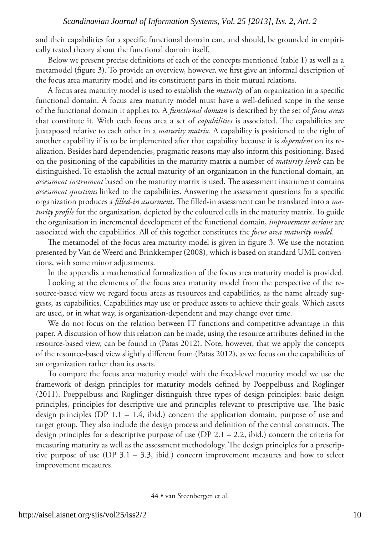and their capabilities for a specific functional domain can, and should, be grounded in empirically tested theory about the functional domain itself.

Below we present precise definitions of each of the concepts mentioned (table 1) as well as a metamodel (figure 3). To provide an overview, however, we first give an informal description of the focus area maturity model and its constituent parts in their mutual relations.

A focus area maturity model is used to establish the *maturity* of an organization in a specific functional domain. A focus area maturity model must have a well-defined scope in the sense of the functional domain it applies to. A *functional domain* is described by the set of *focus areas* that constitute it. With each focus area a set of *capabilities* is associated. The capabilities are juxtaposed relative to each other in a *maturity matrix*. A capability is positioned to the right of another capability if is to be implemented after that capability because it is *dependent* on its realization. Besides hard dependencies, pragmatic reasons may also inform this positioning. Based on the positioning of the capabilities in the maturity matrix a number of *maturity levels* can be distinguished. To establish the actual maturity of an organization in the functional domain, an *assessment instrument* based on the maturity matrix is used. The assessment instrument contains *assessment questions* linked to the capabilities. Answering the assessment questions for a specific organization produces a *filled-in assessment*. The filled-in assessment can be translated into a *maturity profile* for the organization, depicted by the coloured cells in the maturity matrix. To guide the organization in incremental development of the functional domain, *improvement actions* are associated with the capabilities. All of this together constitutes the *focus area maturity model*.

The metamodel of the focus area maturity model is given in figure 3. We use the notation presented by Van de Weerd and Brinkkemper (2008), which is based on standard UML conventions, with some minor adjustments.

In the appendix a mathematical formalization of the focus area maturity model is provided.

Looking at the elements of the focus area maturity model from the perspective of the resource-based view we regard focus areas as resources and capabilities, as the name already suggests, as capabilities. Capabilities may use or produce assets to achieve their goals. Which assets are used, or in what way, is organization-dependent and may change over time.

We do not focus on the relation between IT functions and competitive advantage in this paper. A discussion of how this relation can be made, using the resource attributes defined in the resource-based view, can be found in (Patas 2012). Note, however, that we apply the concepts of the resource-based view slightly different from (Patas 2012), as we focus on the capabilities of an organization rather than its assets.

To compare the focus area maturity model with the fixed-level maturity model we use the framework of design principles for maturity models defined by Poeppelbuss and Röglinger (2011). Poeppelbuss and Röglinger distinguish three types of design principles: basic design principles, principles for descriptive use and principles relevant to prescriptive use. The basic design principles (DP  $1.1 - 1.4$ , ibid.) concern the application domain, purpose of use and target group. They also include the design process and definition of the central constructs. The design principles for a descriptive purpose of use (DP 2.1 – 2.2, ibid.) concern the criteria for measuring maturity as well as the assessment methodology. The design principles for a prescriptive purpose of use (DP  $3.1 - 3.3$ , ibid.) concern improvement measures and how to select improvement measures.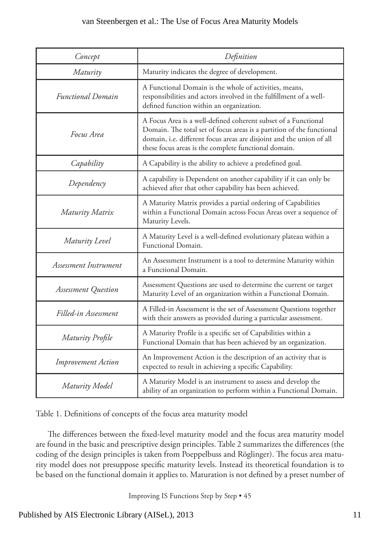| Concept                    | Definition                                                                                                                                                                                                                                                              |
|----------------------------|-------------------------------------------------------------------------------------------------------------------------------------------------------------------------------------------------------------------------------------------------------------------------|
| Maturity                   | Maturity indicates the degree of development.                                                                                                                                                                                                                           |
| <b>Functional Domain</b>   | A Functional Domain is the whole of activities, means,<br>responsibilities and actors involved in the fulfillment of a well-<br>defined function within an organization.                                                                                                |
| Focus Area                 | A Focus Area is a well-defined coherent subset of a Functional<br>Domain. The total set of focus areas is a partition of the functional<br>domain, i.e. different focus areas are disjoint and the union of all<br>these focus areas is the complete functional domain. |
| Capability                 | A Capability is the ability to achieve a predefined goal.                                                                                                                                                                                                               |
| Dependency                 | A capability is Dependent on another capability if it can only be<br>achieved after that other capability has been achieved.                                                                                                                                            |
| Maturity Matrix            | A Maturity Matrix provides a partial ordering of Capabilities<br>within a Functional Domain across Focus Areas over a sequence of<br>Maturity Levels.                                                                                                                   |
| Maturity Level             | A Maturity Level is a well-defined evolutionary plateau within a<br><b>Functional Domain.</b>                                                                                                                                                                           |
| Assessment Instrument      | An Assessment Instrument is a tool to determine Maturity within<br>a Functional Domain.                                                                                                                                                                                 |
| <b>Assessment Question</b> | Assessment Questions are used to determine the current or target<br>Maturity Level of an organization within a Functional Domain.                                                                                                                                       |
| Filled-in Assessment       | A Filled-in Assessment is the set of Assessment Questions together<br>with their answers as provided during a particular assessment.                                                                                                                                    |
| Maturity Profile           | A Maturity Profile is a specific set of Capabilities within a<br>Functional Domain that has been achieved by an organization.                                                                                                                                           |
| <b>Improvement Action</b>  | An Improvement Action is the description of an activity that is<br>expected to result in achieving a specific Capability.                                                                                                                                               |
| Maturity Model             | A Maturity Model is an instrument to assess and develop the<br>ability of an organization to perform within a Functional Domain.                                                                                                                                        |

Table 1. Definitions of concepts of the focus area maturity model

The differences between the fixed-level maturity model and the focus area maturity model are found in the basic and prescriptive design principles. Table 2 summarizes the differences (the coding of the design principles is taken from Poeppelbuss and Röglinger). The focus area maturity model does not presuppose specific maturity levels. Instead its theoretical foundation is to be based on the functional domain it applies to. Maturation is not defined by a preset number of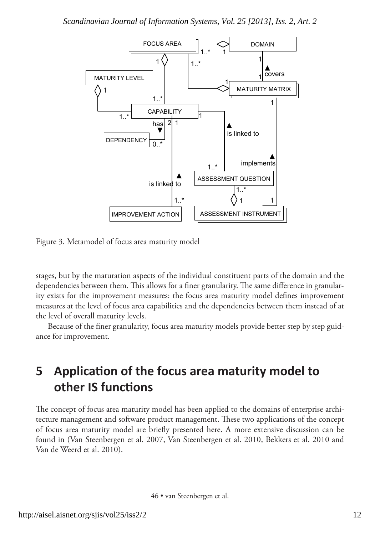

Figure 3. Metamodel of focus area maturity model

stages, but by the maturation aspects of the individual constituent parts of the domain and the dependencies between them. This allows for a finer granularity. The same difference in granularity exists for the improvement measures: the focus area maturity model defines improvement measures at the level of focus area capabilities and the dependencies between them instead of at the level of overall maturity levels.

Because of the finer granularity, focus area maturity models provide better step by step guidance for improvement.

## **5 Application of the focus area maturity model to other IS functions**

The concept of focus area maturity model has been applied to the domains of enterprise architecture management and software product management. These two applications of the concept of focus area maturity model are briefly presented here. A more extensive discussion can be found in (Van Steenbergen et al. 2007, Van Steenbergen et al. 2010, Bekkers et al. 2010 and Van de Weerd et al. 2010).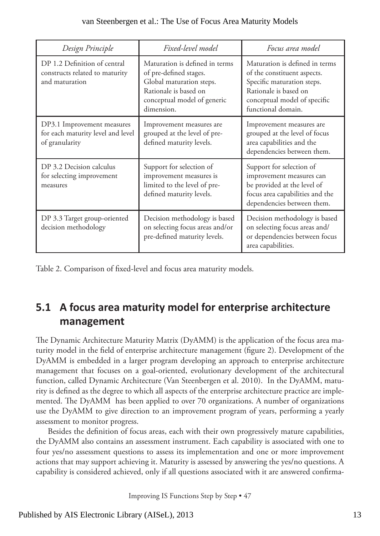| Design Principle                                                                  | Fixed-level model                                                                                                                                          | Focus area model                                                                                                                                                           |  |  |  |  |  |
|-----------------------------------------------------------------------------------|------------------------------------------------------------------------------------------------------------------------------------------------------------|----------------------------------------------------------------------------------------------------------------------------------------------------------------------------|--|--|--|--|--|
| DP 1.2 Definition of central<br>constructs related to maturity<br>and maturation  | Maturation is defined in terms<br>of pre-defined stages.<br>Global maturation steps.<br>Rationale is based on<br>conceptual model of generic<br>dimension. | Maturation is defined in terms<br>of the constituent aspects.<br>Specific maturation steps.<br>Rationale is based on<br>conceptual model of specific<br>functional domain. |  |  |  |  |  |
| DP3.1 Improvement measures<br>for each maturity level and level<br>of granularity | Improvement measures are<br>grouped at the level of pre-<br>defined maturity levels.                                                                       | Improvement measures are<br>grouped at the level of focus<br>area capabilities and the<br>dependencies between them.                                                       |  |  |  |  |  |
| DP 3.2 Decision calculus<br>for selecting improvement<br>measures                 | Support for selection of<br>improvement measures is<br>limited to the level of pre-<br>defined maturity levels.                                            | Support for selection of<br>improvement measures can<br>be provided at the level of<br>focus area capabilities and the<br>dependencies between them.                       |  |  |  |  |  |
| DP 3.3 Target group-oriented<br>decision methodology                              | Decision methodology is based<br>on selecting focus areas and/or<br>pre-defined maturity levels.                                                           | Decision methodology is based<br>on selecting focus areas and/<br>or dependencies between focus<br>area capabilities.                                                      |  |  |  |  |  |

Table 2. Comparison of fixed-level and focus area maturity models.

### **5.1 A focus area maturity model for enterprise architecture management**

The Dynamic Architecture Maturity Matrix (DyAMM) is the application of the focus area maturity model in the field of enterprise architecture management (figure 2). Development of the DyAMM is embedded in a larger program developing an approach to enterprise architecture management that focuses on a goal-oriented, evolutionary development of the architectural function, called Dynamic Architecture (Van Steenbergen et al. 2010). In the DyAMM, maturity is defined as the degree to which all aspects of the enterprise architecture practice are implemented. The DyAMM has been applied to over 70 organizations. A number of organizations use the DyAMM to give direction to an improvement program of years, performing a yearly assessment to monitor progress.

Besides the definition of focus areas, each with their own progressively mature capabilities, the DyAMM also contains an assessment instrument. Each capability is associated with one to four yes/no assessment questions to assess its implementation and one or more improvement actions that may support achieving it. Maturity is assessed by answering the yes/no questions. A capability is considered achieved, only if all questions associated with it are answered confirma-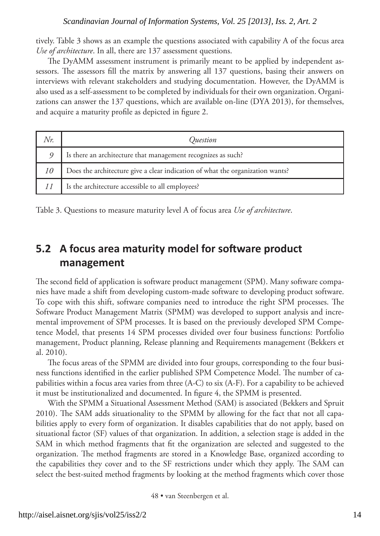tively. Table 3 shows as an example the questions associated with capability A of the focus area *Use of architecture*. In all, there are 137 assessment questions.

The DyAMM assessment instrument is primarily meant to be applied by independent assessors. The assessors fill the matrix by answering all 137 questions, basing their answers on interviews with relevant stakeholders and studying documentation. However, the DyAMM is also used as a self-assessment to be completed by individuals for their own organization. Organizations can answer the 137 questions, which are available on-line (DYA 2013), for themselves, and acquire a maturity profile as depicted in figure 2.

|    | Ouestion                                                                      |
|----|-------------------------------------------------------------------------------|
| 9  | Is there an architecture that management recognizes as such?                  |
| 10 | Does the architecture give a clear indication of what the organization wants? |
|    | Is the architecture accessible to all employees?                              |

Table 3. Questions to measure maturity level A of focus area *Use of architecture*.

### **5.2 A focus area maturity model for software product management**

The second field of application is software product management (SPM). Many software companies have made a shift from developing custom-made software to developing product software. To cope with this shift, software companies need to introduce the right SPM processes. The Software Product Management Matrix (SPMM) was developed to support analysis and incremental improvement of SPM processes. It is based on the previously developed SPM Competence Model, that presents 14 SPM processes divided over four business functions: Portfolio management, Product planning, Release planning and Requirements management (Bekkers et al. 2010).

The focus areas of the SPMM are divided into four groups, corresponding to the four business functions identified in the earlier published SPM Competence Model. The number of capabilities within a focus area varies from three (A-C) to six (A-F). For a capability to be achieved it must be institutionalized and documented. In figure 4, the SPMM is presented.

With the SPMM a Situational Assessment Method (SAM) is associated (Bekkers and Spruit 2010). The SAM adds situationality to the SPMM by allowing for the fact that not all capabilities apply to every form of organization. It disables capabilities that do not apply, based on situational factor (SF) values of that organization. In addition, a selection stage is added in the SAM in which method fragments that fit the organization are selected and suggested to the organization. The method fragments are stored in a Knowledge Base, organized according to the capabilities they cover and to the SF restrictions under which they apply. The SAM can select the best-suited method fragments by looking at the method fragments which cover those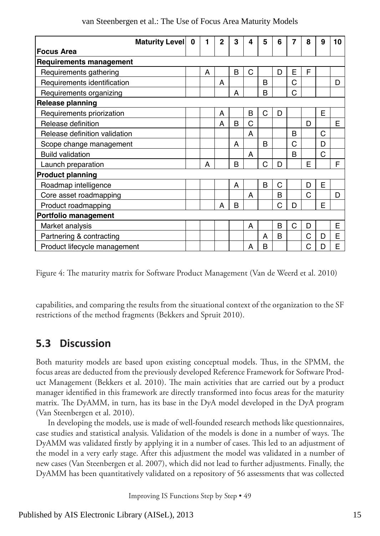|                                | <b>Maturity Levell</b><br>0 | 1 | $\mathbf{2}$ | 3 | 4 | 5            | 6            | 7 | 8 | 9 | 10 |
|--------------------------------|-----------------------------|---|--------------|---|---|--------------|--------------|---|---|---|----|
| <b>Focus Area</b>              |                             |   |              |   |   |              |              |   |   |   |    |
| <b>Requirements management</b> |                             |   |              |   |   |              |              |   |   |   |    |
| Requirements gathering         |                             | A |              | B | C |              | D            | E | F |   |    |
| Requirements identification    |                             |   | А            |   |   | R            |              | C |   |   | D  |
| Requirements organizing        |                             |   |              | A |   | <sub>B</sub> |              | C |   |   |    |
| <b>Release planning</b>        |                             |   |              |   |   |              |              |   |   |   |    |
| Requirements priorization      |                             |   | А            |   | B | C            | D            |   |   | E |    |
| Release definition             |                             |   | А            | B | C |              |              |   | D |   | E  |
| Release definition validation  |                             |   |              |   | A |              |              | B |   | C |    |
| Scope change management        |                             |   |              | A |   | R            |              | C |   | D |    |
| <b>Build validation</b>        |                             |   |              |   | A |              |              | B |   | C |    |
| Launch preparation             |                             | A |              | B |   | C            | D            |   | F |   | F  |
| <b>Product planning</b>        |                             |   |              |   |   |              |              |   |   |   |    |
| Roadmap intelligence           |                             |   |              | A |   | B            | C            |   | D | F |    |
| Core asset roadmapping         |                             |   |              |   | A |              | B            |   | C |   | D  |
| Product roadmapping            |                             |   | А            | B |   |              | C            | D |   | F |    |
| Portfolio management           |                             |   |              |   |   |              |              |   |   |   |    |
| Market analysis                |                             |   |              |   | A |              | B            | C | D |   | E  |
| Partnering & contracting       |                             |   |              |   |   | A            | <sub>B</sub> |   | C | D | F  |
| Product lifecycle management   |                             |   |              |   | А | B            |              |   | C | D | E  |

Figure 4: The maturity matrix for Software Product Management (Van de Weerd et al. 2010)

capabilities, and comparing the results from the situational context of the organization to the SF restrictions of the method fragments (Bekkers and Spruit 2010).

### **5.3 Discussion**

Both maturity models are based upon existing conceptual models. Thus, in the SPMM, the focus areas are deducted from the previously developed Reference Framework for Software Product Management (Bekkers et al. 2010). The main activities that are carried out by a product manager identified in this framework are directly transformed into focus areas for the maturity matrix. The DyAMM, in turn, has its base in the DyA model developed in the DyA program (Van Steenbergen et al. 2010).

In developing the models, use is made of well-founded research methods like questionnaires, case studies and statistical analysis. Validation of the models is done in a number of ways. The DyAMM was validated firstly by applying it in a number of cases. This led to an adjustment of the model in a very early stage. After this adjustment the model was validated in a number of new cases (Van Steenbergen et al. 2007), which did not lead to further adjustments. Finally, the DyAMM has been quantitatively validated on a repository of 56 assessments that was collected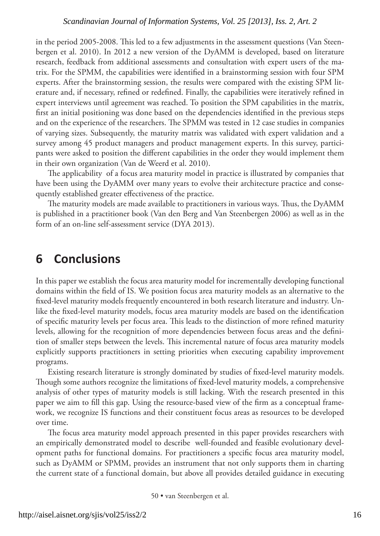in the period 2005-2008. This led to a few adjustments in the assessment questions (Van Steenbergen et al. 2010). In 2012 a new version of the DyAMM is developed, based on literature research, feedback from additional assessments and consultation with expert users of the matrix. For the SPMM, the capabilities were identified in a brainstorming session with four SPM experts. After the brainstorming session, the results were compared with the existing SPM literature and, if necessary, refined or redefined. Finally, the capabilities were iteratively refined in expert interviews until agreement was reached. To position the SPM capabilities in the matrix, first an initial positioning was done based on the dependencies identified in the previous steps and on the experience of the researchers. The SPMM was tested in 12 case studies in companies of varying sizes. Subsequently, the maturity matrix was validated with expert validation and a survey among 45 product managers and product management experts. In this survey, participants were asked to position the different capabilities in the order they would implement them in their own organization (Van de Weerd et al. 2010).

The applicability of a focus area maturity model in practice is illustrated by companies that have been using the DyAMM over many years to evolve their architecture practice and consequently established greater effectiveness of the practice.

The maturity models are made available to practitioners in various ways. Thus, the DyAMM is published in a practitioner book (Van den Berg and Van Steenbergen 2006) as well as in the form of an on-line self-assessment service (DYA 2013).

### **6 Conclusions**

In this paper we establish the focus area maturity model for incrementally developing functional domains within the field of IS. We position focus area maturity models as an alternative to the fixed-level maturity models frequently encountered in both research literature and industry. Unlike the fixed-level maturity models, focus area maturity models are based on the identification of specific maturity levels per focus area. This leads to the distinction of more refined maturity levels, allowing for the recognition of more dependencies between focus areas and the definition of smaller steps between the levels. This incremental nature of focus area maturity models explicitly supports practitioners in setting priorities when executing capability improvement programs.

Existing research literature is strongly dominated by studies of fixed-level maturity models. Though some authors recognize the limitations of fixed-level maturity models, a comprehensive analysis of other types of maturity models is still lacking. With the research presented in this paper we aim to fill this gap. Using the resource-based view of the firm as a conceptual framework, we recognize IS functions and their constituent focus areas as resources to be developed over time.

The focus area maturity model approach presented in this paper provides researchers with an empirically demonstrated model to describe well-founded and feasible evolutionary development paths for functional domains. For practitioners a specific focus area maturity model, such as DyAMM or SPMM, provides an instrument that not only supports them in charting the current state of a functional domain, but above all provides detailed guidance in executing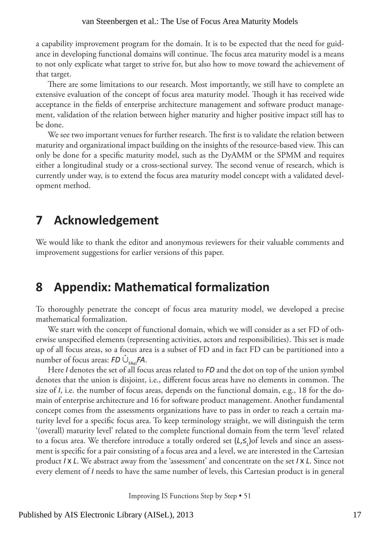a capability improvement program for the domain. It is to be expected that the need for guidance in developing functional domains will continue. The focus area maturity model is a means to not only explicate what target to strive for, but also how to move toward the achievement of that target.

There are some limitations to our research. Most importantly, we still have to complete an extensive evaluation of the concept of focus area maturity model. Though it has received wide acceptance in the fields of enterprise architecture management and software product management, validation of the relation between higher maturity and higher positive impact still has to be done.

We see two important venues for further research. The first is to validate the relation between maturity and organizational impact building on the insights of the resource-based view. This can only be done for a specific maturity model, such as the DyAMM or the SPMM and requires either a longitudinal study or a cross-sectional survey. The second venue of research, which is currently under way, is to extend the focus area maturity model concept with a validated development method.

### **7 Acknowledgement**

We would like to thank the editor and anonymous reviewers for their valuable comments and improvement suggestions for earlier versions of this paper.

### **8 Appendix: Mathematical formalization**

To thoroughly penetrate the concept of focus area maturity model, we developed a precise mathematical formalization.

We start with the concept of functional domain, which we will consider as a set FD of otherwise unspecified elements (representing activities, actors and responsibilities). This set is made up of all focus areas, so a focus area is a subset of FD and in fact FD can be partitioned into a  $n = \frac{1}{2}$  and  $n = 1$  is a readily so a rocal diversity.

Here *I* denotes the set of all focus areas related to *FD* and the dot on top of the union symbol denotes that the union is disjoint, i.e., different focus areas have no elements in common. The size of *I*, i.e. the number of focus areas, depends on the functional domain, e.g., 18 for the domain of enterprise architecture and 16 for software product management. Another fundamental concept comes from the assessments organizations have to pass in order to reach a certain maturity level for a specific focus area. To keep terminology straight, we will distinguish the term '(overall) maturity level' related to the complete functional domain from the term 'level' related to a focus area. We therefore introduce a totally ordered set (*L*,≤*<sup>L</sup>* )of levels and since an assessment is specific for a pair consisting of a focus area and a level, we are interested in the Cartesian product *I* � *L*. We abstract away from the 'assessment' and concentrate on the set *I* � *L*. Since not every element of *I* needs to have the same number of levels, this Cartesian product is in general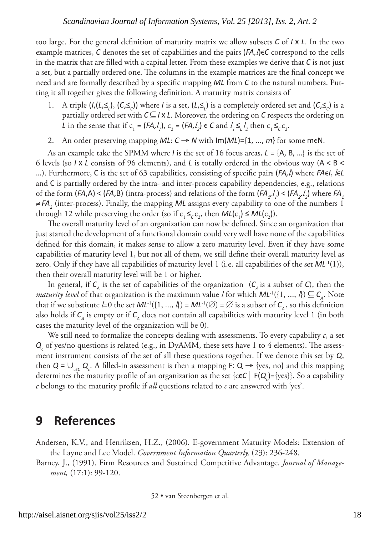too large. For the general definition of maturity matrix we allow subsets *C* of *I* � *L*. In the two example matrices,  $C$  denotes the set of capabilities and the pairs  $(FA, I) \in C$  correspond to the cells in the matrix that are filled with a capital letter. From these examples we derive that *C* is not just a set, but a partially ordered one. The columns in the example matrices are the final concept we need and are formally described by a specific mapping *ML* from *C* to the natural numbers. Putting it all together gives the following definition. A maturity matrix consists of

- 1. A triple  $(I, (L, \leq_L), (C, \leq_C))$  where *I* is a set,  $(L, \leq_L)$  is a completely ordered set and  $(C, \leq_C)$  is a partially ordered set with  $C ⊆ I × L$ . Moreover, the ordering on *C* respects the ordering on *L* in the sense that if  $c_1 = (FA, l_1)$ ,  $c_2 = (FA, l_2) \in C$  and  $l_1 \leq l_2$  then  $c_1 \leq_c c_2$ .
- 2. An order preserving mapping  $ML: C \rightarrow N$  with  $Im(ML) = \{1, ..., m\}$  for some m $\in \mathbb{N}$ .

As an example take the SPMM where *I* is the set of 16 focus areas, *L* = {A, B, …} is the set of 6 levels (so *I*  $\times$  *L* consists of 96 elements), and *L* is totally ordered in the obvious way (A < B < …). Furthermore, C is the set of 63 capabilities, consisting of specific pairs (*FA,l*) where *FA*ϵ*I*, *l*ϵ*L*  and C is partially ordered by the intra- and inter-process capability dependencies, e.g., relations of the form (*FA*,A) < (*FA*,B) (intra-process) and relations of the form (*FA<sub>1</sub>,l*</sup>,) < (*FA<sub>2</sub>,l*<sub>2</sub>) where *FA*<sub>1</sub> ≠ *FA2* (inter-process). Finally, the mapping *ML* assigns every capability to one of the numbers 1 through 12 while preserving the order (so if  $c_1 \leq_c c_2$ , then  $ML(c_1) \leq ML(c_2)$ ).

The overall maturity level of an organization can now be defined. Since an organization that just started the development of a functional domain could very well have none of the capabilities defined for this domain, it makes sense to allow a zero maturity level. Even if they have some capabilities of maturity level 1, but not all of them, we still define their overall maturity level as zero. Only if they have all capabilities of maturity level 1 (i.e. all capabilities of the set  $ML^{-1}(1)$ ), then their overall maturity level will be 1 or higher.

In general, if  $C_A$  is the set of capabilities of the organization ( $C_A$  is a subset of *C*), then the *maturity level* of that organization is the maximum value *l* for which  $ML^{-1}(\{1, ..., \ell\}) \subseteq C_\lambda$ . Note that if we substitute *l*=0 the set  $ML^{-1}(\{1, ..., l\}) = ML^{-1}(\emptyset) = \emptyset$  is a subset of  $C_{\alpha}$ , so this definition also holds if  $C_A$  is empty or if  $C_A$  does not contain all capabilities with maturity level 1 (in both cases the maturity level of the organization will be 0).

We still need to formalize the concepts dealing with assessments. To every capability *c*, a set *Q<sub>c</sub>* of yes/no questions is related (e.g., in DyAMM, these sets have 1 to 4 elements). The assessment instrument consists of the set of all these questions together. If we denote this set by *Q*, then  $Q = \bigcup_{c \in C} Q_c$ . A filled-in assessment is then a mapping F:  $Q \to \{yes, no\}$  and this mapping determines the maturity profile of an organization as the set {c**∈***C*│ F(*Q*<sub>c</sub>)={yes}}. So a capability *c* belongs to the maturity profile if *all* questions related to *c* are answered with 'yes'.

### **9 References**

Andersen, K.V., and Henriksen, H.Z., (2006). E-government Maturity Models: Extension of the Layne and Lee Model. *Government Information Quarterly,* (23): 236-248.

Barney, J., (1991). Firm Resources and Sustained Competitive Advantage. *Journal of Management,* (17:1): 99-120.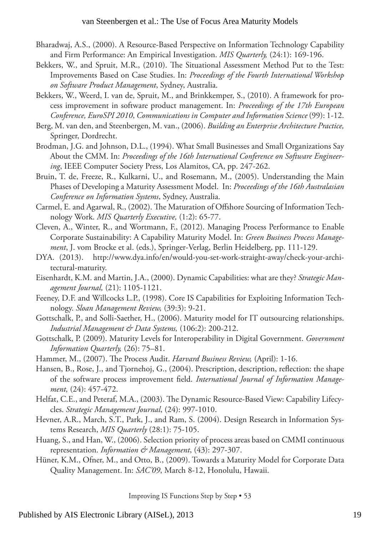- Bharadwaj, A.S., (2000). A Resource-Based Perspective on Information Technology Capability and Firm Performance: An Empirical Investigation. *MIS Quarterly,* (24:1): 169-196.
- Bekkers, W., and Spruit, M.R., (2010). The Situational Assessment Method Put to the Test: Improvements Based on Case Studies. In: *Proceedings of the Fourth International Workshop on Software Product Management*, Sydney, Australia.
- Bekkers, W., Weerd, I. van de, Spruit, M., and Brinkkemper, S., (2010). A framework for process improvement in software product management. In: *Proceedings of the 17th European Conference, EuroSPI 2010*, *Communications in Computer and Information Science* (99): 1-12.
- Berg, M. van den, and Steenbergen, M. van., (2006). *Building an Enterprise Architecture Practice,* Springer, Dordrecht.
- Brodman, J.G. and Johnson, D.L., (1994). What Small Businesses and Small Organizations Say About the CMM. In: *Proceedings of the 16th International Conference on Software Engineering*, IEEE Computer Society Press, Los Alamitos, CA, pp. 247-262.
- Bruin, T. de, Freeze, R., Kulkarni, U., and Rosemann, M., (2005). Understanding the Main Phases of Developing a Maturity Assessment Model. In: *Proceedings of the 16th Australasian Conference on Information Systems*, Sydney, Australia.
- Carmel, E. and Agarwal, R., (2002). The Maturation of Offshore Sourcing of Information Technology Work. *MIS Quarterly Executive,* (1:2): 65-77.
- Cleven, A., Winter, R., and Wortmann, F., (2012). Managing Process Performance to Enable Corporate Sustainability: A Capability Maturity Model. In: *Green Business Process Management*, J. vom Brocke et al. (eds.), Springer-Verlag, Berlin Heidelberg, pp. 111-129.
- DYA. (2013). http://www.dya.info/en/would-you-set-work-straight-away/check-your-architectural-maturity.
- Eisenhardt, K.M. and Martin, J.A., (2000). Dynamic Capabilities: what are they? *Strategic Management Journal,* (21): 1105-1121.
- Feeney, D.F. and Willcocks L.P., (1998). Core IS Capabilities for Exploiting Information Technology. *Sloan Management Review,* (39:3): 9-21.
- Gottschalk, P., and Solli-Saether, H., (2006). Maturity model for IT outsourcing relationships. *Industrial Management & Data Systems,* (106:2): 200-212.
- Gottschalk, P. (2009). Maturity Levels for Interoperability in Digital Government. *Government Information Quarterly,* (26): 75–81.
- Hammer, M., (2007). The Process Audit. *Harvard Business Review,* (April): 1-16.
- Hansen, B., Rose, J., and Tjornehoj, G., (2004). Prescription, description, reflection: the shape of the software process improvement field. *International Journal of Information Management,* (24): 457-472.
- Helfat, C.E., and Peteraf, M.A., (2003). The Dynamic Resource-Based View: Capability Lifecycles. *Strategic Management Journal*, (24): 997-1010.
- Hevner, A.R., March, S.T., Park, J., and Ram, S. (2004). Design Research in Information Systems Research, *MIS Quarterly* (28:1): 75-105.
- Huang, S., and Han, W., (2006). Selection priority of process areas based on CMMI continuous representation. *Information & Management*, (43): 297-307.
- Hüner, K.M., Ofner, M., and Otto, B., (2009). Towards a Maturity Model for Corporate Data Quality Management. In: *SAC'09*, March 8-12, Honolulu, Hawaii.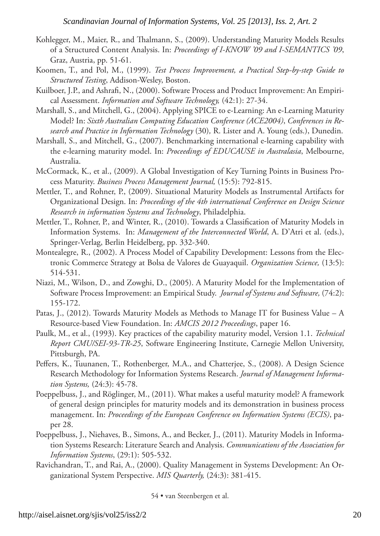- Kohlegger, M., Maier, R., and Thalmann, S., (2009). Understanding Maturity Models Results of a Structured Content Analysis. In: *Proceedings of I-KNOW '09 and I-SEMANTICS '09*, Graz, Austria, pp. 51-61.
- Koomen, T., and Pol, M., (1999). *Test Process Improvement, a Practical Step-by-step Guide to Structured Testing*, Addison-Wesley, Boston.
- Kuilboer, J.P., and Ashrafi, N., (2000). Software Process and Product Improvement: An Empirical Assessment. *Information and Software Technology,* (42:1): 27-34.
- Marshall, S., and Mitchell, G., (2004). Applying SPICE to e-Learning: An e-Learning Maturity Model? In: *Sixth Australian Computing Education Conference (ACE2004)*, *Conferences in Research and Practice in Information Technology* (30)*,* R. Lister and A. Young (eds.), Dunedin.
- Marshall, S., and Mitchell, G., (2007). Benchmarking international e-learning capability with the e-learning maturity model. In: *Proceedings of EDUCAUSE in Australasia*, Melbourne, Australia.
- McCormack, K., et al., (2009). A Global Investigation of Key Turning Points in Business Process Maturity. *Business Process Management Journal,* (15:5): 792-815.
- Mettler, T., and Rohner, P., (2009). Situational Maturity Models as Instrumental Artifacts for Organizational Design. In: *Proceedings of the 4th international Conference on Design Science Research in information Systems and Technology*, Philadelphia.
- Mettler, T., Rohner, P., and Winter, R., (2010). Towards a Classification of Maturity Models in Information Systems. In: *Management of the Interconnected World*, A. D'Atri et al. (eds.), Springer-Verlag, Berlin Heidelberg, pp. 332-340.
- Montealegre, R., (2002). A Process Model of Capability Development: Lessons from the Electronic Commerce Strategy at Bolsa de Valores de Guayaquil. *Organization Science,* (13:5): 514-531.
- Niazi, M., Wilson, D., and Zowghi, D., (2005). A Maturity Model for the Implementation of Software Process Improvement: an Empirical Study. *Journal of Systems and Software,* (74:2): 155-172.
- Patas, J., (2012). Towards Maturity Models as Methods to Manage IT for Business Value A Resource-based View Foundation. In: *AMCIS 2012 Proceedings*, paper 16.
- Paulk, M., et al., (1993). Key practices of the capability maturity model, Version 1.1. *Technical Report CMU/SEI-93-TR-25*, Software Engineering Institute, Carnegie Mellon University, Pittsburgh, PA.
- Peffers, K., Tuunanen, T., Rothenberger, M.A., and Chatterjee, S., (2008). A Design Science Research Methodology for Information Systems Research. *Journal of Management Information Systems,* (24:3): 45-78.
- Poeppelbuss, J., and Röglinger, M., (2011). What makes a useful maturity model? A framework of general design principles for maturity models and its demonstration in business process management. In: *Proceedings of the European Conference on Information Systems (ECIS)*, paper 28.
- Poeppelbuss, J., Niehaves, B., Simons, A., and Becker, J., (2011). Maturity Models in Information Systems Research: Literature Search and Analysis. *Communications of the Association for Information Systems*, (29:1): 505-532.
- Ravichandran, T., and Rai, A., (2000). Quality Management in Systems Development: An Organizational System Perspective. *MIS Quarterly,* (24:3): 381-415.